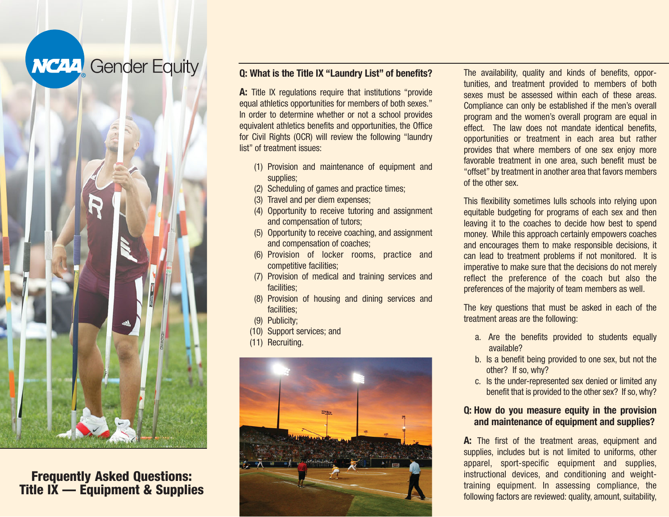## **NC44** Gender Equity



**A:** Title IX regulations require that institutions "provide equal athletics opportunities for members of both sexes." In order to determine whether or not a school provides equivalent athletics benefits and opportunities, the Office for Civil Rights (OCR) will review the following "laundry list" of treatment issues:

- (1) Provision and maintenance of equipment and supplies;
- (2) Scheduling of games and practice times;
- (3) Travel and per diem expenses;
- (4) Opportunity to receive tutoring and assignment and compensation of tutors;
- (5) Opportunity to receive coaching, and assignment and compensation of coaches;
- (6) Provision of locker rooms, practice and competitive facilities;
- (7) Provision of medical and training services and facilities;
- (8) Provision of housing and dining services and facilities;
- (9) Publicity;
- (10) Support services; and
- (11) Recruiting.



The availability, quality and kinds of benefits, opportunities, and treatment provided to members of both sexes must be assessed within each of these areas. Compliance can only be established if the men's overall program and the women's overall program are equal in effect. The law does not mandate identical benefits, opportunities or treatment in each area but rather provides that where members of one sex enjoy more favorable treatment in one area, such benefit must be "offset" by treatment in another area that favors members of the other sex.

This flexibility sometimes lulls schools into relying upon equitable budgeting for programs of each sex and then leaving it to the coaches to decide how best to spend money. While this approach certainly empowers coaches and encourages them to make responsible decisions, it can lead to treatment problems if not monitored. It is imperative to make sure that the decisions do not merely reflect the preference of the coach but also the preferences of the majority of team members as well.

The key questions that must be asked in each of the treatment areas are the following:

- a. Are the benefits provided to students equally available?
- b. Is a benefit being provided to one sex, but not the other? If so, why?
- c. Is the under-represented sex denied or limited any benefit that is provided to the other sex? If so, why?

## **Q: How do you measure equity in the provision and maintenance of equipment and supplies?**

**A:** The first of the treatment areas, equipment and supplies, includes but is not limited to uniforms, other apparel, sport-specific equipment and supplies, instructional devices, and conditioning and weighttraining equipment. In assessing compliance, the following factors are reviewed: quality, amount, suitability,

**Frequently Asked Questions: Title IX — Equipment & Supplies**